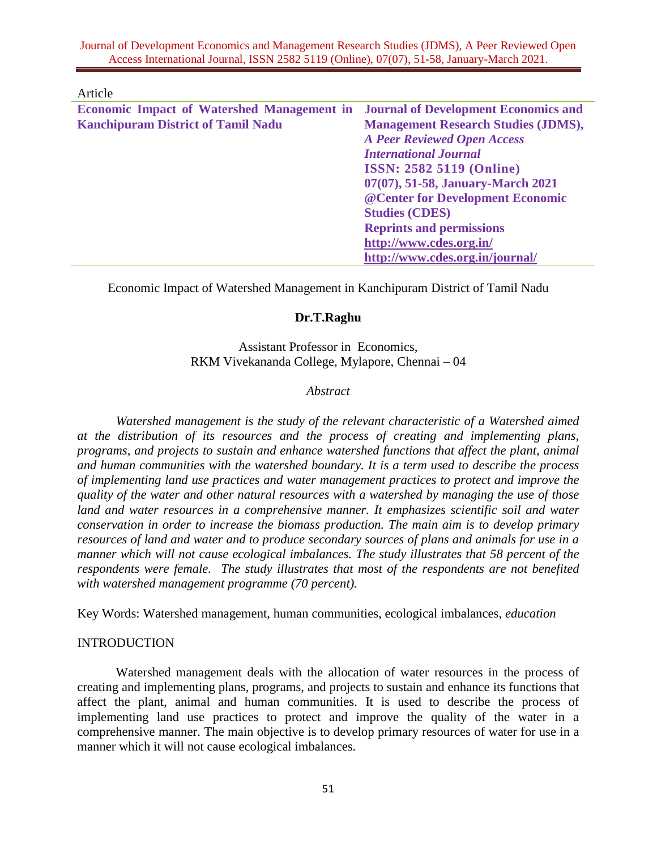Journal of Development Economics and Management Research Studies (JDMS), A Peer Reviewed Open Access International Journal, ISSN 2582 5119 (Online), 07(07), 51-58, January-March 2021.

Article

| <b>Economic Impact of Watershed Management in Journal of Development Economics and</b> |                                            |
|----------------------------------------------------------------------------------------|--------------------------------------------|
| <b>Kanchipuram District of Tamil Nadu</b>                                              | <b>Management Research Studies (JDMS),</b> |
|                                                                                        | <b>A Peer Reviewed Open Access</b>         |
|                                                                                        | <b>International Journal</b>               |
|                                                                                        | <b>ISSN: 2582 5119 (Online)</b>            |
|                                                                                        | 07(07), 51-58, January-March 2021          |
|                                                                                        | @ Center for Development Economic          |
|                                                                                        | <b>Studies (CDES)</b>                      |
|                                                                                        | <b>Reprints and permissions</b>            |
|                                                                                        | http://www.cdes.org.in/                    |
|                                                                                        | http://www.cdes.org.in/journal/            |

Economic Impact of Watershed Management in Kanchipuram District of Tamil Nadu

# **Dr.T.Raghu**

Assistant Professor in Economics, RKM Vivekananda College, Mylapore, Chennai – 04

#### *Abstract*

 *Watershed management is the study of the relevant characteristic of a Watershed aimed at the distribution of its resources and the process of creating and implementing plans, programs, and projects to sustain and enhance watershed functions that affect the plant, animal and human communities with the watershed boundary. It is a term used to describe the process of implementing land use practices and water management practices to protect and improve the quality of the water and other natural resources with a watershed by managing the use of those land and water resources in a comprehensive manner. It emphasizes scientific soil and water conservation in order to increase the biomass production. The main aim is to develop primary resources of land and water and to produce secondary sources of plans and animals for use in a manner which will not cause ecological imbalances. The study illustrates that 58 percent of the respondents were female. The study illustrates that most of the respondents are not benefited with watershed management programme (70 percent).*

Key Words: Watershed management, human communities, ecological imbalances, *education*

#### INTRODUCTION

Watershed management deals with the allocation of water resources in the process of creating and implementing plans, programs, and projects to sustain and enhance its functions that affect the plant, animal and human communities. It is used to describe the process of implementing land use practices to protect and improve the quality of the water in a comprehensive manner. The main objective is to develop primary resources of water for use in a manner which it will not cause ecological imbalances.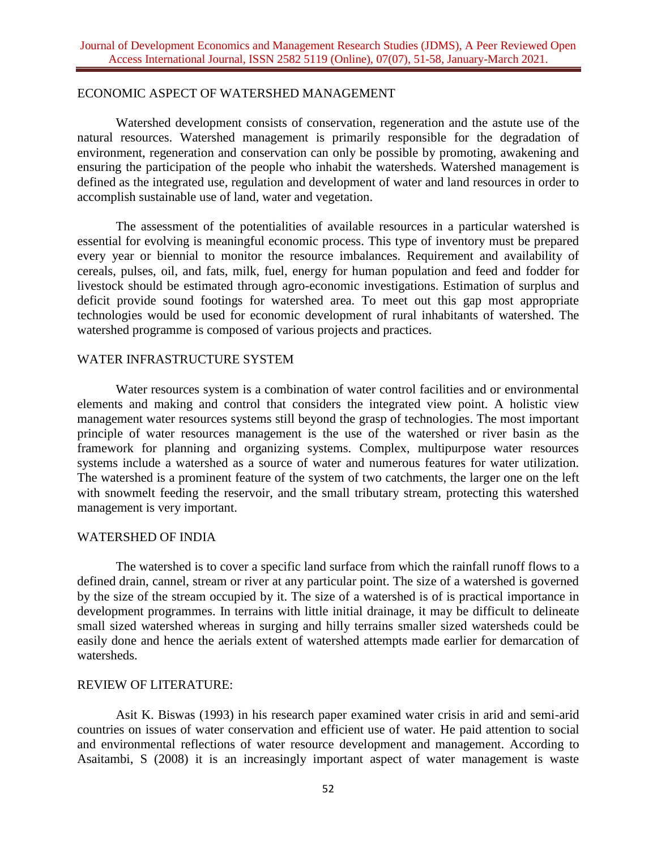#### ECONOMIC ASPECT OF WATERSHED MANAGEMENT

Watershed development consists of conservation, regeneration and the astute use of the natural resources. Watershed management is primarily responsible for the degradation of environment, regeneration and conservation can only be possible by promoting, awakening and ensuring the participation of the people who inhabit the watersheds. Watershed management is defined as the integrated use, regulation and development of water and land resources in order to accomplish sustainable use of land, water and vegetation.

The assessment of the potentialities of available resources in a particular watershed is essential for evolving is meaningful economic process. This type of inventory must be prepared every year or biennial to monitor the resource imbalances. Requirement and availability of cereals, pulses, oil, and fats, milk, fuel, energy for human population and feed and fodder for livestock should be estimated through agro-economic investigations. Estimation of surplus and deficit provide sound footings for watershed area. To meet out this gap most appropriate technologies would be used for economic development of rural inhabitants of watershed. The watershed programme is composed of various projects and practices.

### WATER INFRASTRUCTURE SYSTEM

Water resources system is a combination of water control facilities and or environmental elements and making and control that considers the integrated view point. A holistic view management water resources systems still beyond the grasp of technologies. The most important principle of water resources management is the use of the watershed or river basin as the framework for planning and organizing systems. Complex, multipurpose water resources systems include a watershed as a source of water and numerous features for water utilization. The watershed is a prominent feature of the system of two catchments, the larger one on the left with snowmelt feeding the reservoir, and the small tributary stream, protecting this watershed management is very important.

## WATERSHED OF INDIA

The watershed is to cover a specific land surface from which the rainfall runoff flows to a defined drain, cannel, stream or river at any particular point. The size of a watershed is governed by the size of the stream occupied by it. The size of a watershed is of is practical importance in development programmes. In terrains with little initial drainage, it may be difficult to delineate small sized watershed whereas in surging and hilly terrains smaller sized watersheds could be easily done and hence the aerials extent of watershed attempts made earlier for demarcation of watersheds.

#### REVIEW OF LITERATURE:

Asit K. Biswas (1993) in his research paper examined water crisis in arid and semi-arid countries on issues of water conservation and efficient use of water. He paid attention to social and environmental reflections of water resource development and management. According to Asaitambi, S (2008) it is an increasingly important aspect of water management is waste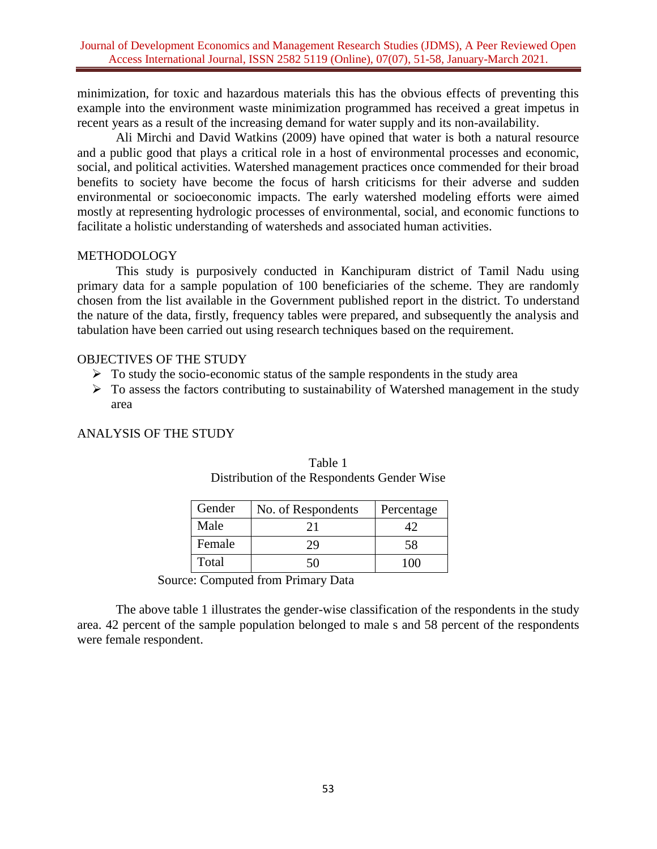minimization, for toxic and hazardous materials this has the obvious effects of preventing this example into the environment waste minimization programmed has received a great impetus in recent years as a result of the increasing demand for water supply and its non-availability.

Ali Mirchi and David Watkins (2009) have opined that water is both a natural resource and a public good that plays a critical role in a host of environmental processes and economic, social, and political activities. Watershed management practices once commended for their broad benefits to society have become the focus of harsh criticisms for their adverse and sudden environmental or socioeconomic impacts. The early watershed modeling efforts were aimed mostly at representing hydrologic processes of environmental, social, and economic functions to facilitate a holistic understanding of watersheds and associated human activities.

# **METHODOLOGY**

This study is purposively conducted in Kanchipuram district of Tamil Nadu using primary data for a sample population of 100 beneficiaries of the scheme. They are randomly chosen from the list available in the Government published report in the district. To understand the nature of the data, firstly, frequency tables were prepared, and subsequently the analysis and tabulation have been carried out using research techniques based on the requirement.

# OBJECTIVES OF THE STUDY

- $\triangleright$  To study the socio-economic status of the sample respondents in the study area
- $\triangleright$  To assess the factors contributing to sustainability of Watershed management in the study area

# ANALYSIS OF THE STUDY

| Gender | No. of Respondents | Percentage |
|--------|--------------------|------------|
| Male   | 21                 |            |
| Female | 29                 | 58         |
| Total  | 50                 | 1 OC       |

| Table 1                                     |
|---------------------------------------------|
| Distribution of the Respondents Gender Wise |

Source: Computed from Primary Data

The above table 1 illustrates the gender-wise classification of the respondents in the study area. 42 percent of the sample population belonged to male s and 58 percent of the respondents were female respondent.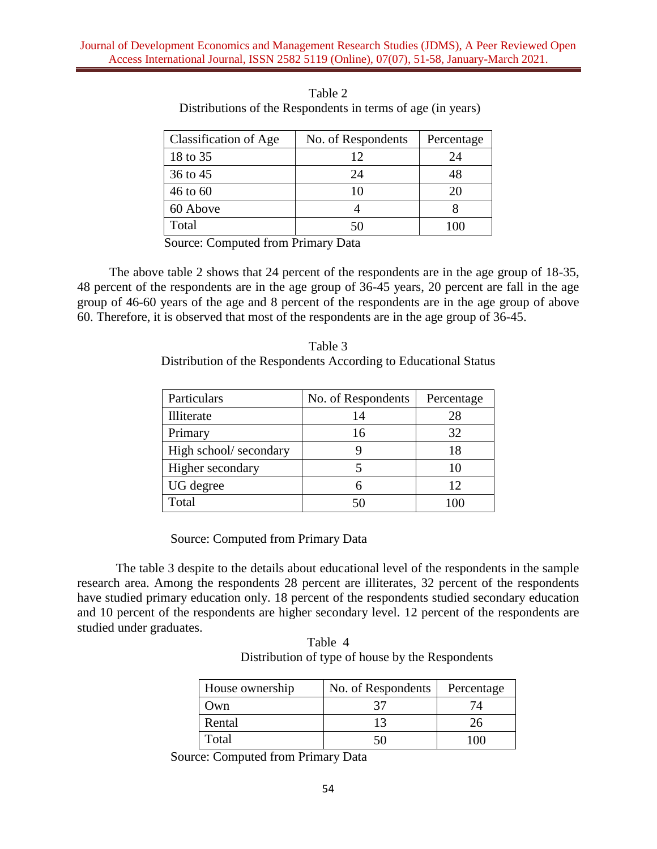| Classification of Age | No. of Respondents | Percentage |
|-----------------------|--------------------|------------|
| 18 to 35              | 12                 | 24         |
| 36 to 45              | 24                 | 48         |
| 46 to 60              | 10                 | 20         |
| 60 Above              |                    |            |
| Total                 | 50                 |            |

Table 2 Distributions of the Respondents in terms of age (in years)

Source: Computed from Primary Data

 The above table 2 shows that 24 percent of the respondents are in the age group of 18-35, 48 percent of the respondents are in the age group of 36-45 years, 20 percent are fall in the age group of 46-60 years of the age and 8 percent of the respondents are in the age group of above 60. Therefore, it is observed that most of the respondents are in the age group of 36-45.

| Table 3                                                         |
|-----------------------------------------------------------------|
| Distribution of the Respondents According to Educational Status |

| Particulars           | No. of Respondents | Percentage |
|-----------------------|--------------------|------------|
| Illiterate            | 14                 | 28         |
| Primary               | 16                 | 32         |
| High school/secondary |                    | 18         |
| Higher secondary      |                    | 10         |
| UG degree             | 6                  | 12         |
| Total                 |                    |            |

Source: Computed from Primary Data

 The table 3 despite to the details about educational level of the respondents in the sample research area. Among the respondents 28 percent are illiterates, 32 percent of the respondents have studied primary education only. 18 percent of the respondents studied secondary education and 10 percent of the respondents are higher secondary level. 12 percent of the respondents are studied under graduates.

Table 4 Distribution of type of house by the Respondents

| House ownership | No. of Respondents | Percentage |
|-----------------|--------------------|------------|
| Own)            |                    |            |
| Rental          |                    | 26         |
| Total           | 50                 | $100 -$    |

Source: Computed from Primary Data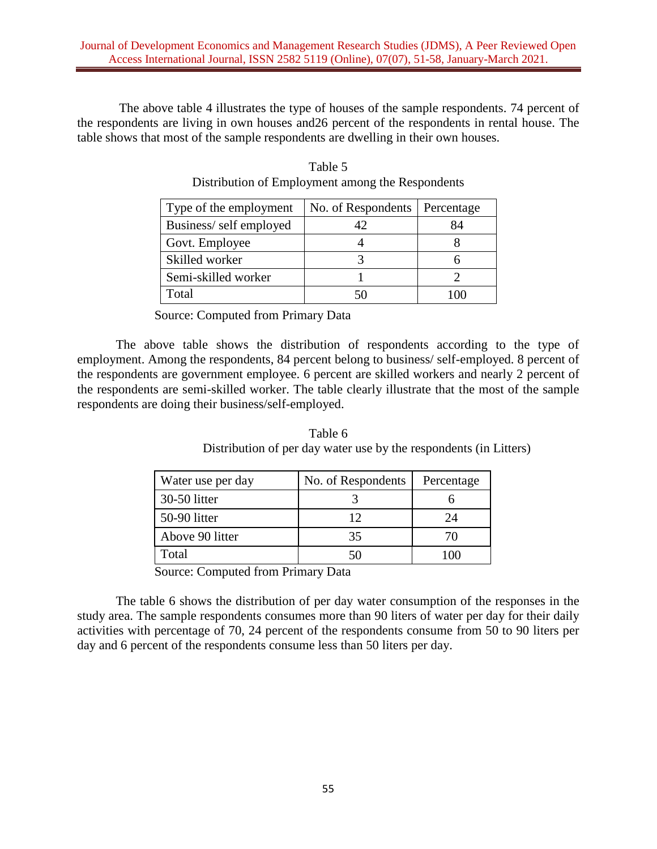The above table 4 illustrates the type of houses of the sample respondents. 74 percent of the respondents are living in own houses and26 percent of the respondents in rental house. The table shows that most of the sample respondents are dwelling in their own houses.

| Type of the employment | No. of Respondents | Percentage |
|------------------------|--------------------|------------|
| Business/self employed | 42                 | 84         |
| Govt. Employee         |                    |            |
| Skilled worker         |                    |            |
| Semi-skilled worker    |                    |            |
| Total                  |                    |            |

Table 5 Distribution of Employment among the Respondents

Source: Computed from Primary Data

The above table shows the distribution of respondents according to the type of employment. Among the respondents, 84 percent belong to business/ self-employed. 8 percent of the respondents are government employee. 6 percent are skilled workers and nearly 2 percent of the respondents are semi-skilled worker. The table clearly illustrate that the most of the sample respondents are doing their business/self-employed.

Table 6 Distribution of per day water use by the respondents (in Litters)

| Water use per day | No. of Respondents | Percentage |
|-------------------|--------------------|------------|
| 30-50 litter      |                    |            |
| 50-90 litter      | 12                 | 24         |
| Above 90 litter   | 35                 | 70         |
| Total             | 50                 |            |

Source: Computed from Primary Data

The table 6 shows the distribution of per day water consumption of the responses in the study area. The sample respondents consumes more than 90 liters of water per day for their daily activities with percentage of 70, 24 percent of the respondents consume from 50 to 90 liters per day and 6 percent of the respondents consume less than 50 liters per day.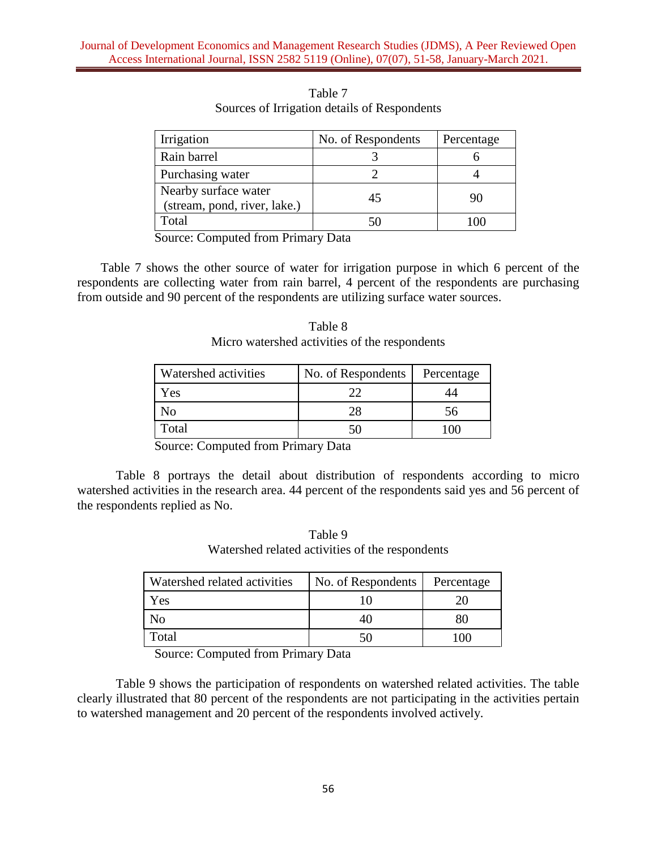| Irrigation                                           | No. of Respondents | Percentage |
|------------------------------------------------------|--------------------|------------|
| Rain barrel                                          |                    |            |
| Purchasing water                                     |                    |            |
| Nearby surface water<br>(stream, pond, river, lake.) | 45                 | 90         |
| Гоtal                                                |                    |            |

Table 7 Sources of Irrigation details of Respondents

Source: Computed from Primary Data

Table 7 shows the other source of water for irrigation purpose in which 6 percent of the respondents are collecting water from rain barrel, 4 percent of the respondents are purchasing from outside and 90 percent of the respondents are utilizing surface water sources.

| Table 8                                       |  |
|-----------------------------------------------|--|
| Micro watershed activities of the respondents |  |

| Watershed activities | No. of Respondents | Percentage |
|----------------------|--------------------|------------|
| Yes                  |                    |            |
|                      | 28                 | 56         |
| Total                | 50                 | M          |

Source: Computed from Primary Data

Table 8 portrays the detail about distribution of respondents according to micro watershed activities in the research area. 44 percent of the respondents said yes and 56 percent of the respondents replied as No.

|                                                 | Table 9 |  |  |
|-------------------------------------------------|---------|--|--|
| Watershed related activities of the respondents |         |  |  |

| Watershed related activities | No. of Respondents | Percentage |
|------------------------------|--------------------|------------|
| Yes                          |                    |            |
| NO                           | 40                 |            |
| Total                        | 50                 | ' ()( )    |

Source: Computed from Primary Data

Table 9 shows the participation of respondents on watershed related activities. The table clearly illustrated that 80 percent of the respondents are not participating in the activities pertain to watershed management and 20 percent of the respondents involved actively.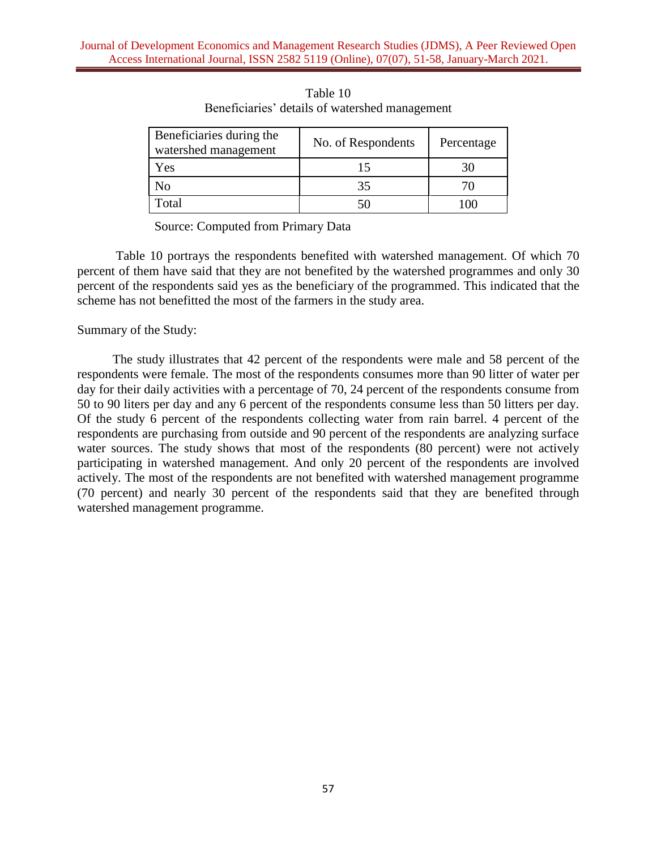| Beneficiaries during the<br>watershed management | No. of Respondents | Percentage |
|--------------------------------------------------|--------------------|------------|
| Yes                                              | 15                 |            |
| No                                               | 35                 |            |
| Total                                            |                    |            |

Table 10 Beneficiaries' details of watershed management

Source: Computed from Primary Data

Table 10 portrays the respondents benefited with watershed management. Of which 70 percent of them have said that they are not benefited by the watershed programmes and only 30 percent of the respondents said yes as the beneficiary of the programmed. This indicated that the scheme has not benefitted the most of the farmers in the study area.

Summary of the Study:

The study illustrates that 42 percent of the respondents were male and 58 percent of the respondents were female. The most of the respondents consumes more than 90 litter of water per day for their daily activities with a percentage of 70, 24 percent of the respondents consume from 50 to 90 liters per day and any 6 percent of the respondents consume less than 50 litters per day. Of the study 6 percent of the respondents collecting water from rain barrel. 4 percent of the respondents are purchasing from outside and 90 percent of the respondents are analyzing surface water sources. The study shows that most of the respondents (80 percent) were not actively participating in watershed management. And only 20 percent of the respondents are involved actively. The most of the respondents are not benefited with watershed management programme (70 percent) and nearly 30 percent of the respondents said that they are benefited through watershed management programme.